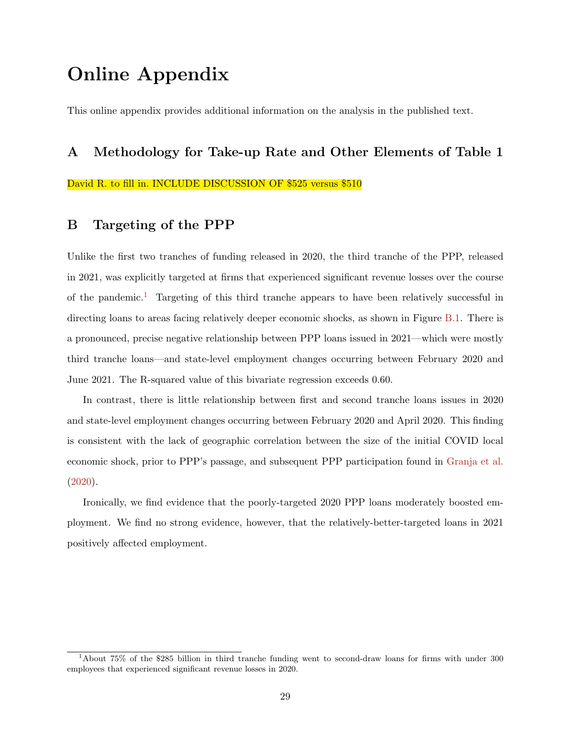# Online Appendix

This online appendix provides additional information on the analysis in the published text.

## A Methodology for Take-up Rate and Other Elements of Table 1

David R. to fill in. INCLUDE DISCUSSION OF \$525 versus \$510

### B Targeting of the PPP

Unlike the first two tranches of funding released in 2020, the third tranche of the PPP, released in 2021, was explicitly targeted at firms that experienced significant revenue losses over the course of the pandemic.<sup>1</sup> Targeting of this third tranche appears to have been relatively successful in directing loans to areas facing relatively deeper economic shocks, as shown in Figure B.1. There is a pronounced, precise negative relationship between PPP loans issued in 2021—which were mostly third tranche loans—and state-level employment changes occurring between February 2020 and June 2021. The R-squared value of this bivariate regression exceeds 0.60.

In contrast, there is little relationship between first and second tranche loans issues in 2020 and state-level employment changes occurring between February 2020 and April 2020. This finding is consistent with the lack of geographic correlation between the size of the initial COVID local economic shock, prior to PPP's passage, and subsequent PPP participation found in Granja et al. (2020).

Ironically, we find evidence that the poorly-targeted 2020 PPP loans moderately boosted employment. We find no strong evidence, however, that the relatively-better-targeted loans in 2021 positively affected employment.

<sup>1</sup>About 75% of the \$285 billion in third tranche funding went to second-draw loans for firms with under 300 employees that experienced significant revenue losses in 2020.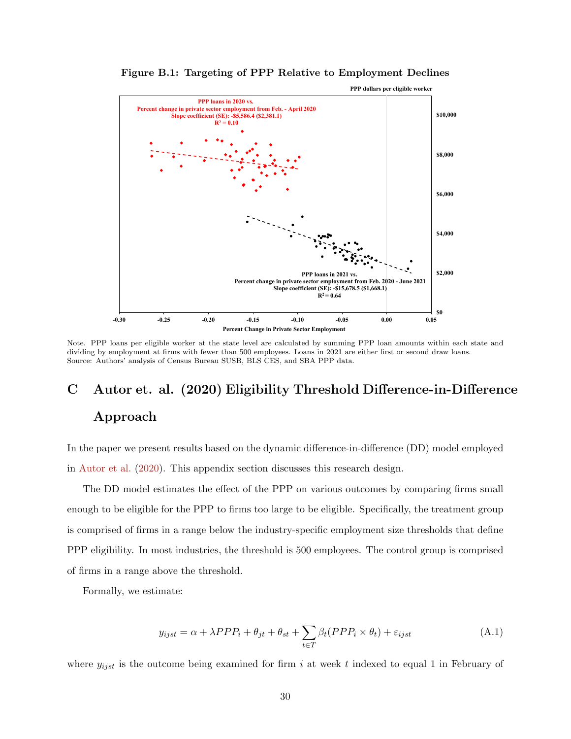

Figure B.1: Targeting of PPP Relative to Employment Declines

Note. PPP loans per eligible worker at the state level are calculated by summing PPP loan amounts within each state and dividing by employment at firms with fewer than 500 employees. Loans in 2021 are either first or second draw loans. Source: Authors' analysis of Census Bureau SUSB, BLS CES, and SBA PPP data.

# C Autor et. al. (2020) Eligibility Threshold Difference-in-Difference Approach

In the paper we present results based on the dynamic difference-in-difference (DD) model employed in Autor et al. (2020). This appendix section discusses this research design.

The DD model estimates the effect of the PPP on various outcomes by comparing firms small enough to be eligible for the PPP to firms too large to be eligible. Specifically, the treatment group is comprised of firms in a range below the industry-specific employment size thresholds that define PPP eligibility. In most industries, the threshold is 500 employees. The control group is comprised of firms in a range above the threshold.

Formally, we estimate:

$$
y_{ijst} = \alpha + \lambda PPP_i + \theta_{jt} + \theta_{st} + \sum_{t \in T} \beta_t (PPP_i \times \theta_t) + \varepsilon_{ijst}
$$
 (A.1)

where  $y_{i,jst}$  is the outcome being examined for firm i at week t indexed to equal 1 in February of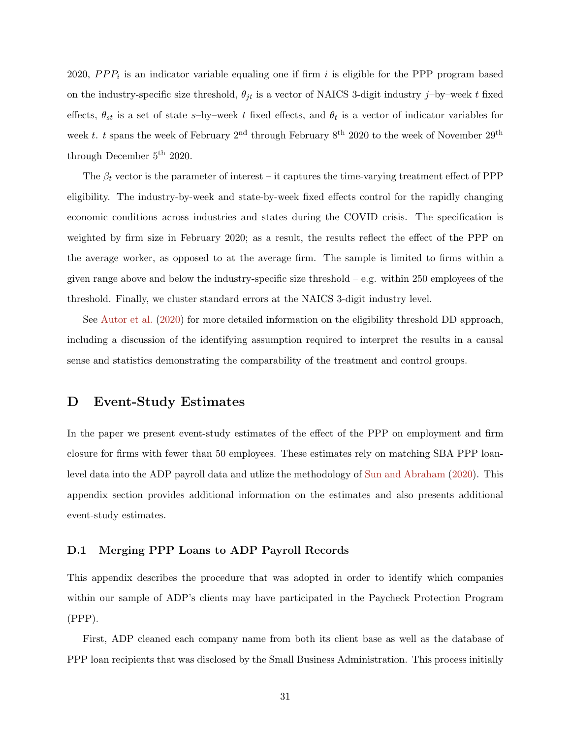2020,  $PPP_i$  is an indicator variable equaling one if firm i is eligible for the PPP program based on the industry-specific size threshold,  $\theta_{jt}$  is a vector of NAICS 3-digit industry j–by–week t fixed effects,  $\theta_{st}$  is a set of state s-by-week t fixed effects, and  $\theta_t$  is a vector of indicator variables for week t. t spans the week of February 2<sup>nd</sup> through February  $8^{th}$  2020 to the week of November 29<sup>th</sup> through December 5th 2020.

The  $\beta_t$  vector is the parameter of interest – it captures the time-varying treatment effect of PPP eligibility. The industry-by-week and state-by-week fixed effects control for the rapidly changing economic conditions across industries and states during the COVID crisis. The specification is weighted by firm size in February 2020; as a result, the results reflect the effect of the PPP on the average worker, as opposed to at the average firm. The sample is limited to firms within a given range above and below the industry-specific size threshold – e.g. within 250 employees of the threshold. Finally, we cluster standard errors at the NAICS 3-digit industry level.

See Autor et al. (2020) for more detailed information on the eligibility threshold DD approach, including a discussion of the identifying assumption required to interpret the results in a causal sense and statistics demonstrating the comparability of the treatment and control groups.

### D Event-Study Estimates

In the paper we present event-study estimates of the effect of the PPP on employment and firm closure for firms with fewer than 50 employees. These estimates rely on matching SBA PPP loanlevel data into the ADP payroll data and utlize the methodology of Sun and Abraham (2020). This appendix section provides additional information on the estimates and also presents additional event-study estimates.

### D.1 Merging PPP Loans to ADP Payroll Records

This appendix describes the procedure that was adopted in order to identify which companies within our sample of ADP's clients may have participated in the Paycheck Protection Program (PPP).

First, ADP cleaned each company name from both its client base as well as the database of PPP loan recipients that was disclosed by the Small Business Administration. This process initially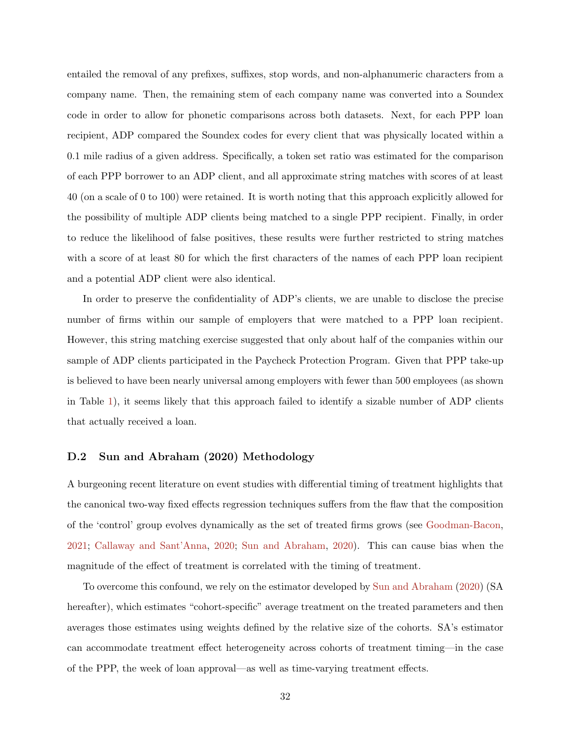entailed the removal of any prefixes, suffixes, stop words, and non-alphanumeric characters from a company name. Then, the remaining stem of each company name was converted into a Soundex code in order to allow for phonetic comparisons across both datasets. Next, for each PPP loan recipient, ADP compared the Soundex codes for every client that was physically located within a 0.1 mile radius of a given address. Specifically, a token set ratio was estimated for the comparison of each PPP borrower to an ADP client, and all approximate string matches with scores of at least 40 (on a scale of 0 to 100) were retained. It is worth noting that this approach explicitly allowed for the possibility of multiple ADP clients being matched to a single PPP recipient. Finally, in order to reduce the likelihood of false positives, these results were further restricted to string matches with a score of at least 80 for which the first characters of the names of each PPP loan recipient and a potential ADP client were also identical.

In order to preserve the confidentiality of ADP's clients, we are unable to disclose the precise number of firms within our sample of employers that were matched to a PPP loan recipient. However, this string matching exercise suggested that only about half of the companies within our sample of ADP clients participated in the Paycheck Protection Program. Given that PPP take-up is believed to have been nearly universal among employers with fewer than 500 employees (as shown in Table 1), it seems likely that this approach failed to identify a sizable number of ADP clients that actually received a loan.

### D.2 Sun and Abraham (2020) Methodology

A burgeoning recent literature on event studies with differential timing of treatment highlights that the canonical two-way fixed effects regression techniques suffers from the flaw that the composition of the 'control' group evolves dynamically as the set of treated firms grows (see Goodman-Bacon, 2021; Callaway and Sant'Anna, 2020; Sun and Abraham, 2020). This can cause bias when the magnitude of the effect of treatment is correlated with the timing of treatment.

To overcome this confound, we rely on the estimator developed by Sun and Abraham (2020) (SA hereafter), which estimates "cohort-specific" average treatment on the treated parameters and then averages those estimates using weights defined by the relative size of the cohorts. SA's estimator can accommodate treatment effect heterogeneity across cohorts of treatment timing—in the case of the PPP, the week of loan approval—as well as time-varying treatment effects.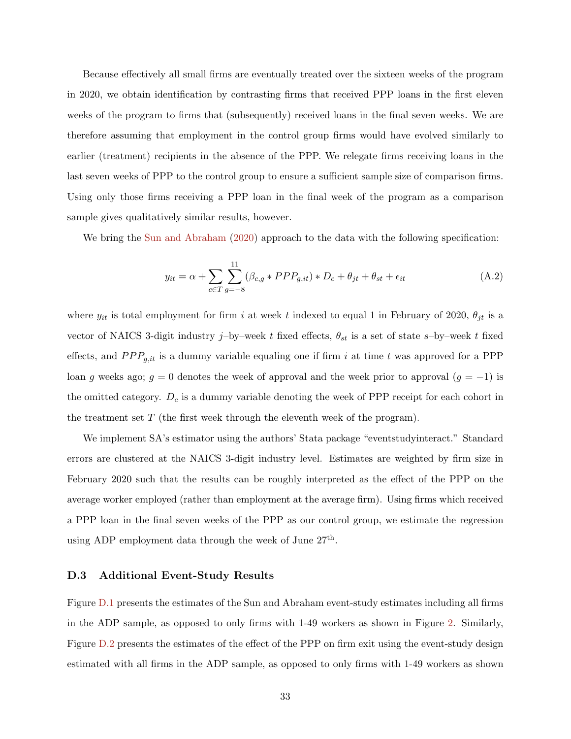Because effectively all small firms are eventually treated over the sixteen weeks of the program in 2020, we obtain identification by contrasting firms that received PPP loans in the first eleven weeks of the program to firms that (subsequently) received loans in the final seven weeks. We are therefore assuming that employment in the control group firms would have evolved similarly to earlier (treatment) recipients in the absence of the PPP. We relegate firms receiving loans in the last seven weeks of PPP to the control group to ensure a sufficient sample size of comparison firms. Using only those firms receiving a PPP loan in the final week of the program as a comparison sample gives qualitatively similar results, however.

We bring the Sun and Abraham (2020) approach to the data with the following specification:

$$
y_{it} = \alpha + \sum_{c \in T} \sum_{g=-8}^{11} (\beta_{c,g} * PPP_{g,it}) * D_c + \theta_{jt} + \theta_{st} + \epsilon_{it}
$$
(A.2)

where  $y_{it}$  is total employment for firm i at week t indexed to equal 1 in February of 2020,  $\theta_{jt}$  is a vector of NAICS 3-digit industry j–by–week t fixed effects,  $\theta_{st}$  is a set of state s–by–week t fixed effects, and  $PPP_{g,it}$  is a dummy variable equaling one if firm i at time t was approved for a PPP loan g weeks ago;  $g = 0$  denotes the week of approval and the week prior to approval  $(g = -1)$  is the omitted category.  $D_c$  is a dummy variable denoting the week of PPP receipt for each cohort in the treatment set  $T$  (the first week through the eleventh week of the program).

We implement SA's estimator using the authors' Stata package "eventstudyinteract." Standard errors are clustered at the NAICS 3-digit industry level. Estimates are weighted by firm size in February 2020 such that the results can be roughly interpreted as the effect of the PPP on the average worker employed (rather than employment at the average firm). Using firms which received a PPP loan in the final seven weeks of the PPP as our control group, we estimate the regression using ADP employment data through the week of June  $27<sup>th</sup>$ .

### D.3 Additional Event-Study Results

Figure D.1 presents the estimates of the Sun and Abraham event-study estimates including all firms in the ADP sample, as opposed to only firms with 1-49 workers as shown in Figure 2. Similarly, Figure D.2 presents the estimates of the effect of the PPP on firm exit using the event-study design estimated with all firms in the ADP sample, as opposed to only firms with 1-49 workers as shown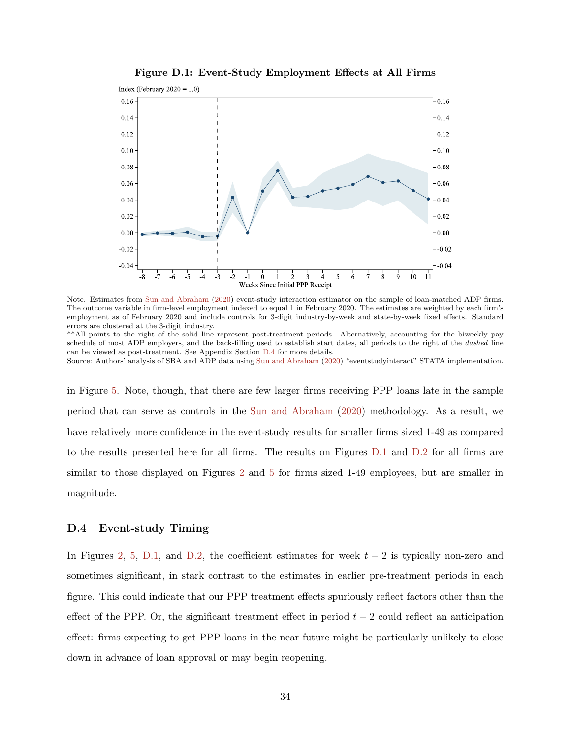

Figure D.1: Event-Study Employment Effects at All Firms

Note. Estimates from Sun and Abraham (2020) event-study interaction estimator on the sample of loan-matched ADP firms. The outcome variable in firm-level employment indexed to equal 1 in February 2020. The estimates are weighted by each firm's employment as of February 2020 and include controls for 3-digit industry-by-week and state-by-week fixed effects. Standard errors are clustered at the 3-digit industry.

\*\*All points to the right of the solid line represent post-treatment periods. Alternatively, accounting for the biweekly pay schedule of most ADP employers, and the back-filling used to establish start dates, all periods to the right of the dashed line can be viewed as post-treatment. See Appendix Section D.4 for more details.

Source: Authors' analysis of SBA and ADP data using Sun and Abraham (2020) "eventstudyinteract" STATA implementation.

in Figure 5. Note, though, that there are few larger firms receiving PPP loans late in the sample period that can serve as controls in the Sun and Abraham (2020) methodology. As a result, we have relatively more confidence in the event-study results for smaller firms sized 1-49 as compared to the results presented here for all firms. The results on Figures D.1 and D.2 for all firms are similar to those displayed on Figures 2 and 5 for firms sized 1-49 employees, but are smaller in magnitude.

### D.4 Event-study Timing

In Figures 2, 5, D.1, and D.2, the coefficient estimates for week  $t - 2$  is typically non-zero and sometimes significant, in stark contrast to the estimates in earlier pre-treatment periods in each figure. This could indicate that our PPP treatment effects spuriously reflect factors other than the effect of the PPP. Or, the significant treatment effect in period  $t - 2$  could reflect an anticipation effect: firms expecting to get PPP loans in the near future might be particularly unlikely to close down in advance of loan approval or may begin reopening.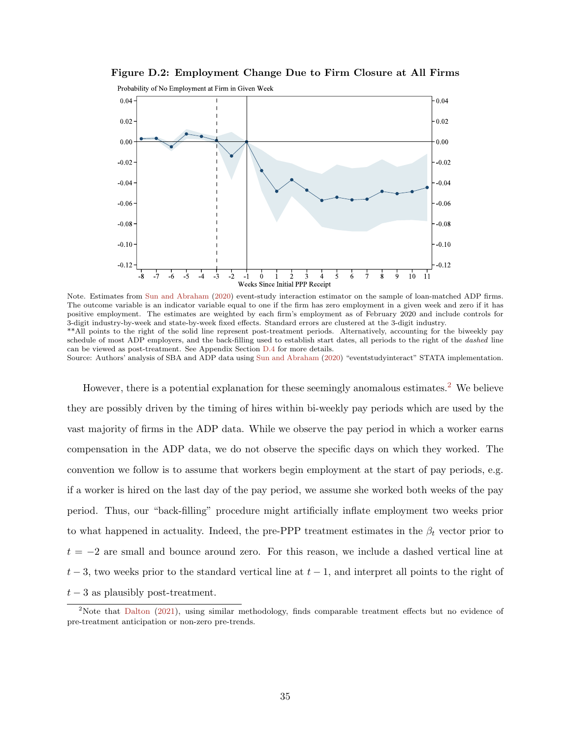

Figure D.2: Employment Change Due to Firm Closure at All Firms

Note. Estimates from Sun and Abraham (2020) event-study interaction estimator on the sample of loan-matched ADP firms. The outcome variable is an indicator variable equal to one if the firm has zero employment in a given week and zero if it has positive employment. The estimates are weighted by each firm's employment as of February 2020 and include controls for 3-digit industry-by-week and state-by-week fixed effects. Standard errors are clustered at the 3-digit industry. \*\*All points to the right of the solid line represent post-treatment periods. Alternatively, accounting for the biweekly pay schedule of most ADP employers, and the back-filling used to establish start dates, all periods to the right of the *dashed* line can be viewed as post-treatment. See Appendix Section D.4 for more details. Source: Authors' analysis of SBA and ADP data using Sun and Abraham (2020) "eventstudyinteract" STATA implementation.

However, there is a potential explanation for these seemingly anomalous estimates.<sup>2</sup> We believe they are possibly driven by the timing of hires within bi-weekly pay periods which are used by the vast majority of firms in the ADP data. While we observe the pay period in which a worker earns compensation in the ADP data, we do not observe the specific days on which they worked. The convention we follow is to assume that workers begin employment at the start of pay periods, e.g. if a worker is hired on the last day of the pay period, we assume she worked both weeks of the pay period. Thus, our "back-filling" procedure might artificially inflate employment two weeks prior to what happened in actuality. Indeed, the pre-PPP treatment estimates in the  $\beta_t$  vector prior to  $t = -2$  are small and bounce around zero. For this reason, we include a dashed vertical line at  $t-3$ , two weeks prior to the standard vertical line at  $t-1$ , and interpret all points to the right of  $t-3$  as plausibly post-treatment.

<sup>&</sup>lt;sup>2</sup>Note that Dalton (2021), using similar methodology, finds comparable treatment effects but no evidence of pre-treatment anticipation or non-zero pre-trends.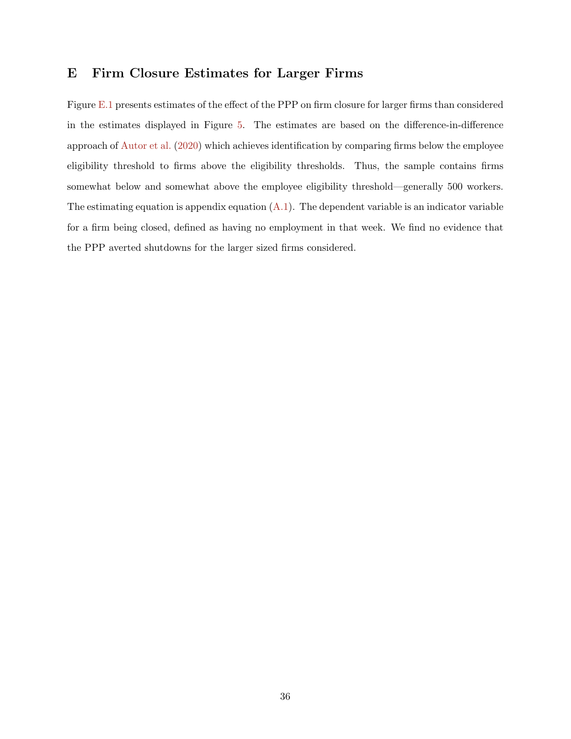# E Firm Closure Estimates for Larger Firms

Figure E.1 presents estimates of the effect of the PPP on firm closure for larger firms than considered in the estimates displayed in Figure 5. The estimates are based on the difference-in-difference approach of Autor et al. (2020) which achieves identification by comparing firms below the employee eligibility threshold to firms above the eligibility thresholds. Thus, the sample contains firms somewhat below and somewhat above the employee eligibility threshold—generally 500 workers. The estimating equation is appendix equation  $(A.1)$ . The dependent variable is an indicator variable for a firm being closed, defined as having no employment in that week. We find no evidence that the PPP averted shutdowns for the larger sized firms considered.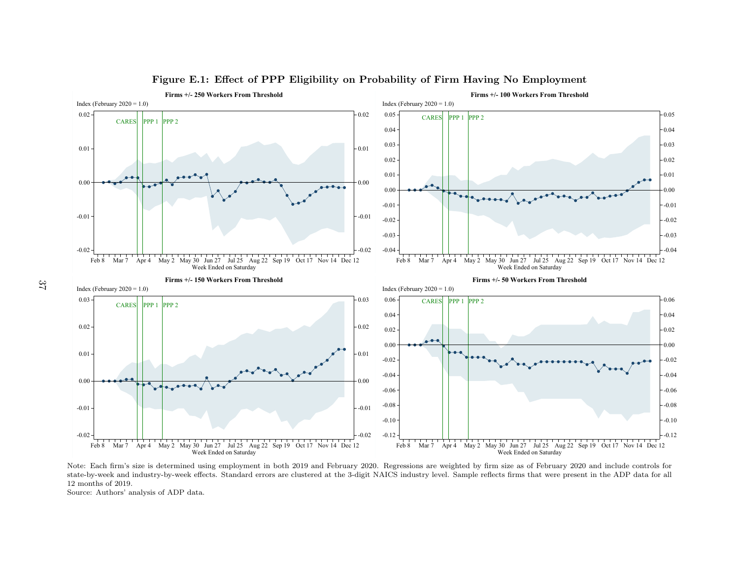

### Figure E.1: Effect of PPP Eligibility on Probability of Firm Having No Employment

 Note: Each firm's size is determined using employment in both 2019 and February 2020. Regressions are weighted by firm size as of February 2020 and include controls for state-by-week and industry-by-week effects. Standard errors are clustered at the 3-digit NAICS industry level. Sample reflects firms that were present in the ADP data for allMar 7 Apr 4 May 2 May 30 Jun 27 Jul 25 Aug 22 Sep 19 Oct 17 Nov 14 Dec 12<br>Week Ended on Saturday<br>the firm's size is determined using employment in both 2019 and February<br>reek and industry-by-week effects. Standard errors a Mar 7 Apr 4 May 2 May 30 Jun 27 Jul 25 Aug 22 Sep 19 Oct 17 Nov 14 Dec 12<br>Week Ended on Saturday<br>Sions are weighted by firm size as of February 2020 and include controls f<br>dustry level. Sample reflects firms that were pres 12 months of 2019.

Source: Authors' analysis of ADP data.

37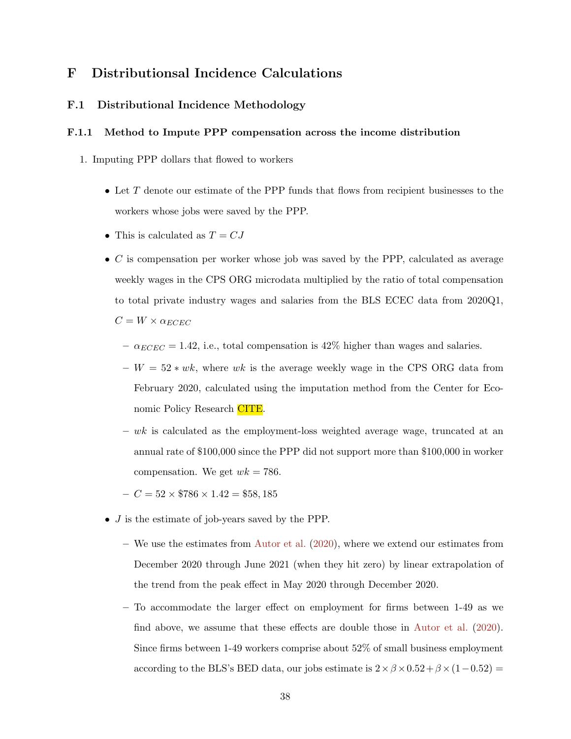# F Distributionsal Incidence Calculations

### F.1 Distributional Incidence Methodology

### F.1.1 Method to Impute PPP compensation across the income distribution

- 1. Imputing PPP dollars that flowed to workers
	- Let  $T$  denote our estimate of the PPP funds that flows from recipient businesses to the workers whose jobs were saved by the PPP.
	- This is calculated as  $T = CJ$
	- $\bullet$  C is compensation per worker whose job was saved by the PPP, calculated as average weekly wages in the CPS ORG microdata multiplied by the ratio of total compensation to total private industry wages and salaries from the BLS ECEC data from 2020Q1,  $C = W \times \alpha_{ECEC}$ 
		- $-\alpha_{ECEC} = 1.42$ , i.e., total compensation is 42% higher than wages and salaries.
		- $W = 52 * wk$ , where wk is the average weekly wage in the CPS ORG data from February 2020, calculated using the imputation method from the Center for Economic Policy Research CITE.
		- $w k$  is calculated as the employment-loss weighted average wage, truncated at an annual rate of \$100,000 since the PPP did not support more than \$100,000 in worker compensation. We get  $wk = 786$ .
		- $-C = 52 \times $786 \times 1.42 = $58,185$
	- J is the estimate of job-years saved by the PPP.
		- We use the estimates from Autor et al. (2020), where we extend our estimates from December 2020 through June 2021 (when they hit zero) by linear extrapolation of the trend from the peak effect in May 2020 through December 2020.
		- To accommodate the larger effect on employment for firms between 1-49 as we find above, we assume that these effects are double those in Autor et al. (2020). Since firms between 1-49 workers comprise about 52% of small business employment according to the BLS's BED data, our jobs estimate is  $2 \times \beta \times 0.52 + \beta \times (1-0.52) =$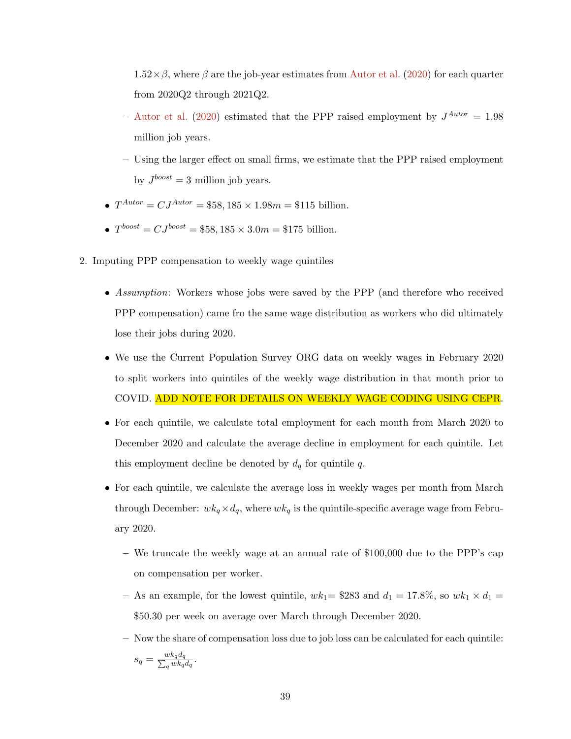$1.52\times\beta$ , where  $\beta$  are the job-year estimates from Autor et al. (2020) for each quarter from 2020Q2 through 2021Q2.

- Autor et al. (2020) estimated that the PPP raised employment by  $J^{Autor} = 1.98$ million job years.
- Using the larger effect on small firms, we estimate that the PPP raised employment by  $J^{boost} = 3$  million job years.
- $T^{Autor} = CJ^{Autor} = $58,185 \times 1.98m = $115$  billion.
- $T^{boost} = CJ^{boost} = $58,185 \times 3.0m = $175$  billion.
- 2. Imputing PPP compensation to weekly wage quintiles
	- Assumption: Workers whose jobs were saved by the PPP (and therefore who received PPP compensation) came fro the same wage distribution as workers who did ultimately lose their jobs during 2020.
	- We use the Current Population Survey ORG data on weekly wages in February 2020 to split workers into quintiles of the weekly wage distribution in that month prior to COVID. ADD NOTE FOR DETAILS ON WEEKLY WAGE CODING USING CEPR.
	- For each quintile, we calculate total employment for each month from March 2020 to December 2020 and calculate the average decline in employment for each quintile. Let this employment decline be denoted by  $d_q$  for quintile  $q$ .
	- For each quintile, we calculate the average loss in weekly wages per month from March through December:  $wk_q \times d_q$ , where  $wk_q$  is the quintile-specific average wage from February 2020.
		- We truncate the weekly wage at an annual rate of \$100,000 due to the PPP's cap on compensation per worker.
		- As an example, for the lowest quintile,  $wk_1$  = \$283 and  $d_1 = 17.8\%$ , so  $wk_1 \times d_1$  = \$50.30 per week on average over March through December 2020.
		- Now the share of compensation loss due to job loss can be calculated for each quintile:  $s_q = \frac{w k_q d_q}{\sum_q w k_q}$  $\frac{w\kappa_q a_q}{q\,wk_q d_q}.$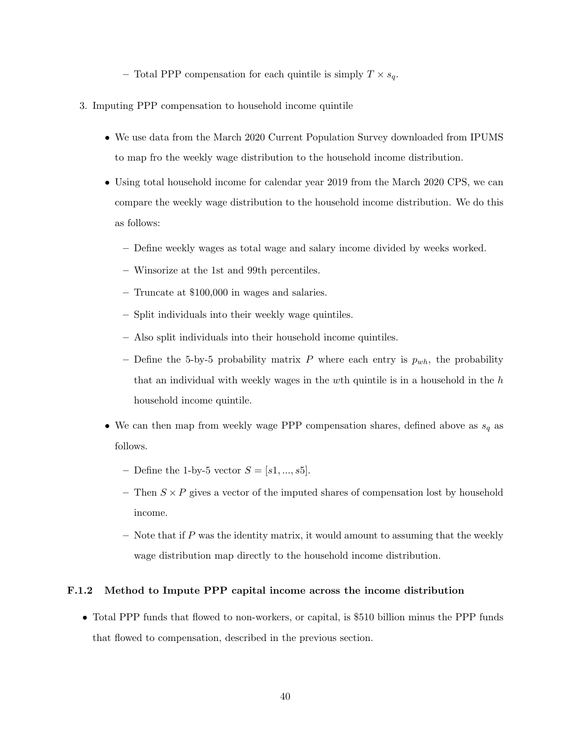– Total PPP compensation for each quintile is simply  $T \times s_q$ .

- 3. Imputing PPP compensation to household income quintile
	- We use data from the March 2020 Current Population Survey downloaded from IPUMS to map fro the weekly wage distribution to the household income distribution.
	- Using total household income for calendar year 2019 from the March 2020 CPS, we can compare the weekly wage distribution to the household income distribution. We do this as follows:
		- Define weekly wages as total wage and salary income divided by weeks worked.
		- Winsorize at the 1st and 99th percentiles.
		- Truncate at \$100,000 in wages and salaries.
		- Split individuals into their weekly wage quintiles.
		- Also split individuals into their household income quintiles.
		- Define the 5-by-5 probability matrix P where each entry is  $p_{wh}$ , the probability that an individual with weekly wages in the wth quintile is in a household in the  $h$ household income quintile.
	- $\bullet\,$  We can then map from weekly wage PPP compensation shares, defined above as  $s_q$  as follows.
		- Define the 1-by-5 vector  $S = [s_1, ..., s_5]$ .
		- Then  $S \times P$  gives a vector of the imputed shares of compensation lost by household income.
		- $-$  Note that if P was the identity matrix, it would amount to assuming that the weekly wage distribution map directly to the household income distribution.

### F.1.2 Method to Impute PPP capital income across the income distribution

• Total PPP funds that flowed to non-workers, or capital, is \$510 billion minus the PPP funds that flowed to compensation, described in the previous section.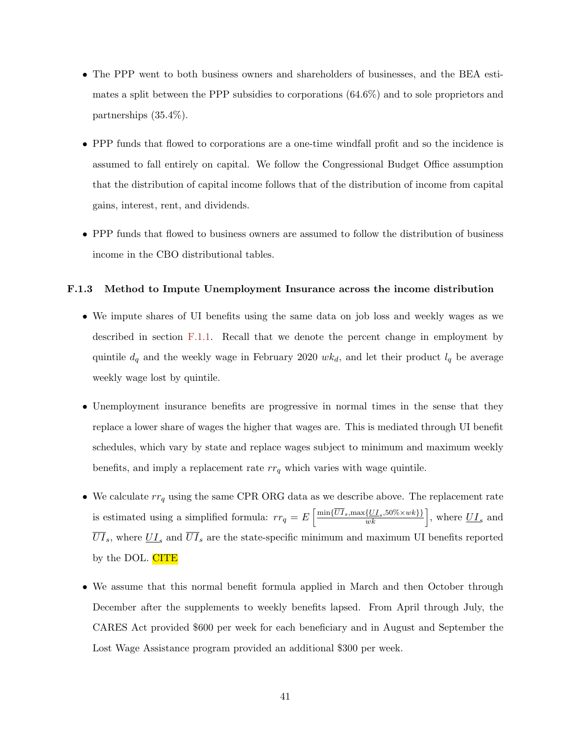- The PPP went to both business owners and shareholders of businesses, and the BEA estimates a split between the PPP subsidies to corporations (64.6%) and to sole proprietors and partnerships (35.4%).
- PPP funds that flowed to corporations are a one-time windfall profit and so the incidence is assumed to fall entirely on capital. We follow the Congressional Budget Office assumption that the distribution of capital income follows that of the distribution of income from capital gains, interest, rent, and dividends.
- PPP funds that flowed to business owners are assumed to follow the distribution of business income in the CBO distributional tables.

#### F.1.3 Method to Impute Unemployment Insurance across the income distribution

- We impute shares of UI benefits using the same data on job loss and weekly wages as we described in section F.1.1. Recall that we denote the percent change in employment by quintile  $d_q$  and the weekly wage in February 2020  $wk_d$ , and let their product  $l_q$  be average weekly wage lost by quintile.
- Unemployment insurance benefits are progressive in normal times in the sense that they replace a lower share of wages the higher that wages are. This is mediated through UI benefit schedules, which vary by state and replace wages subject to minimum and maximum weekly benefits, and imply a replacement rate  $rr_q$  which varies with wage quintile.
- We calculate  $rr_q$  using the same CPR ORG data as we describe above. The replacement rate is estimated using a simplified formula:  $rr_q = E\left[\frac{\min{\{\overline{UI}_s,\max{\{\underline{UI}_s,50\% \times wk\}\}}}}{wk}\right]$ , where  $\overline{UI}_s$  and  $\overline{UI}_s$ , where  $\underline{UI}_s$  and  $\overline{UI}_s$  are the state-specific minimum and maximum UI benefits reported by the DOL. CITE
- We assume that this normal benefit formula applied in March and then October through December after the supplements to weekly benefits lapsed. From April through July, the CARES Act provided \$600 per week for each beneficiary and in August and September the Lost Wage Assistance program provided an additional \$300 per week.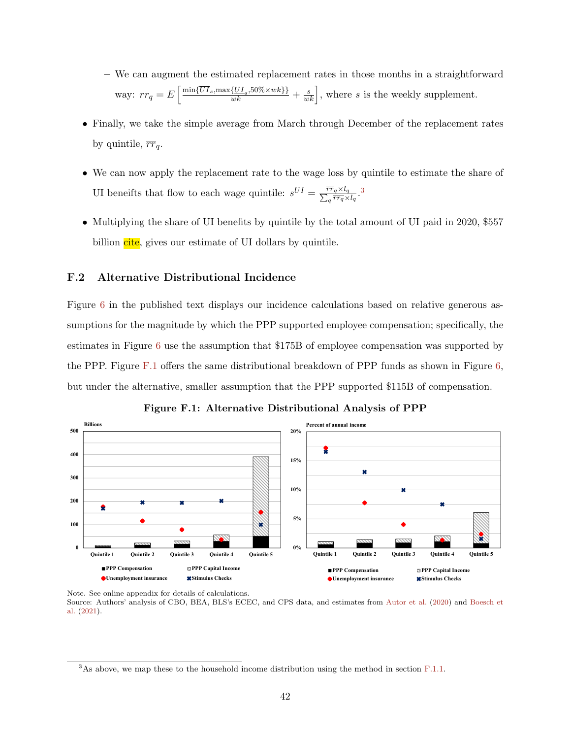- We can augment the estimated replacement rates in those months in a straightforward way:  $rr_q = E\left[\frac{\min{\lbrace \overline{UI}_s, \max{\lbrace \underline{UI}_s, 50\% \times wk \rbrace}\rbrace}}{wk} + \frac{s}{wk}\right]$ , where s is the weekly supplement.
- Finally, we take the simple average from March through December of the replacement rates by quintile,  $\overline{rr}_q$ .
- We can now apply the replacement rate to the wage loss by quintile to estimate the share of UI beneifts that flow to each wage quintile:  $s^{UI} = \frac{\overline{rr}_q \times l_q}{\sum_q \overline{rr}_q \times l_q}$ .
- $\bullet$  Multiplying the share of UI benefits by quintile by the total amount of UI paid in 2020, \$557 billion cite, gives our estimate of UI dollars by quintile.

## F.2 Alternative Distributional Incidence

**300**

Figure 6 in the published text displays our incidence calculations based on relative generous assumptions for the magnitude by which the PPP supported employee compensation; specifically, the estimates in Figure  $6$  use the assumption that \$175B of employee compensation was supported by the PPP. Figure F.1 offers the same distributional breakdown of PPP funds as shown in Figure 6, but under the alternative, smaller assumption that the PPP supported \$115B of compensation.



Figure F.1: Alternative Distributional Analysis of PPP

**500** al. (2021). Source: Authors' analysis of CBO, BEA, BLS's ECEC, and CPS data, and estimates from Autor et al. (2020) and Boesch et Note. See online appendix for details of calculations.

 $3$ As above, we map these to the household income distribution using the method in section F.1.1.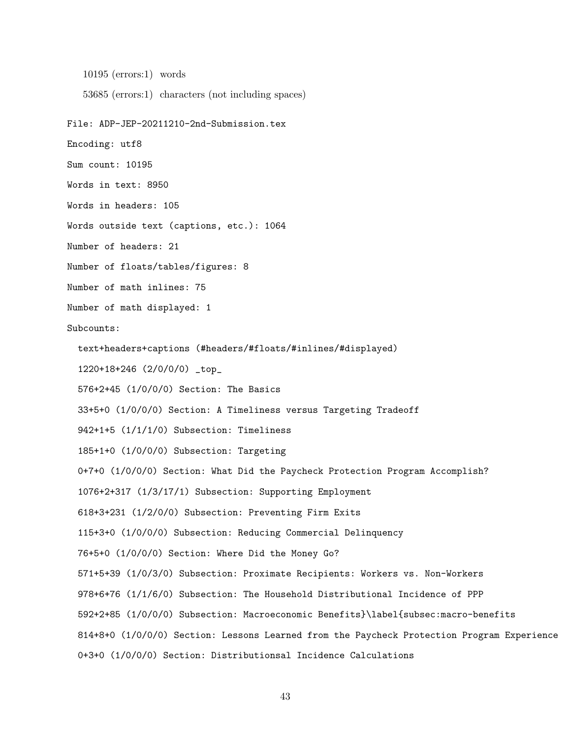10195 (errors:1) words

53685 (errors:1) characters (not including spaces)

```
File: ADP-JEP-20211210-2nd-Submission.tex
```
Encoding: utf8

Sum count: 10195

Words in text: 8950

Words in headers: 105

Words outside text (captions, etc.): 1064

Number of headers: 21

Number of floats/tables/figures: 8

Number of math inlines: 75

Number of math displayed: 1

Subcounts:

text+headers+captions (#headers/#floats/#inlines/#displayed)

1220+18+246 (2/0/0/0) \_top\_

576+2+45 (1/0/0/0) Section: The Basics

33+5+0 (1/0/0/0) Section: A Timeliness versus Targeting Tradeoff

942+1+5 (1/1/1/0) Subsection: Timeliness

185+1+0 (1/0/0/0) Subsection: Targeting

0+7+0 (1/0/0/0) Section: What Did the Paycheck Protection Program Accomplish?

1076+2+317 (1/3/17/1) Subsection: Supporting Employment

618+3+231 (1/2/0/0) Subsection: Preventing Firm Exits

115+3+0 (1/0/0/0) Subsection: Reducing Commercial Delinquency

76+5+0 (1/0/0/0) Section: Where Did the Money Go?

571+5+39 (1/0/3/0) Subsection: Proximate Recipients: Workers vs. Non-Workers

978+6+76 (1/1/6/0) Subsection: The Household Distributional Incidence of PPP

592+2+85 (1/0/0/0) Subsection: Macroeconomic Benefits}\label{subsec:macro-benefits

814+8+0 (1/0/0/0) Section: Lessons Learned from the Paycheck Protection Program Experience

0+3+0 (1/0/0/0) Section: Distributionsal Incidence Calculations

43